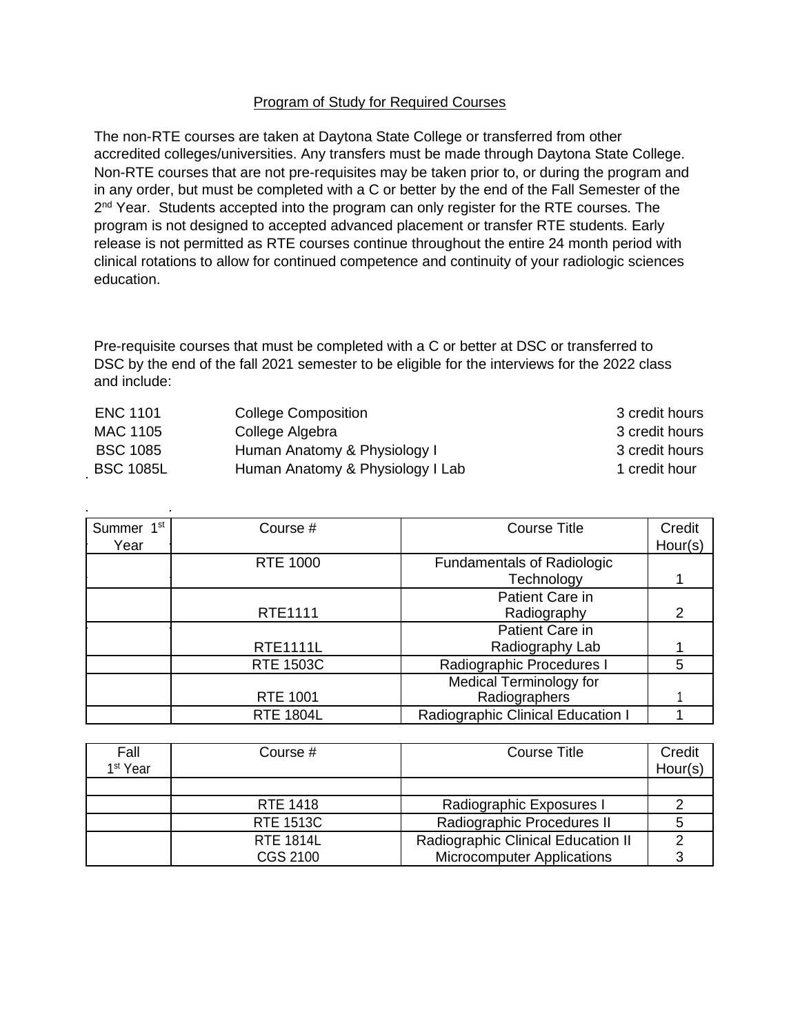## Program of Study for Required Courses

The non-RTE courses are taken at Daytona State College or transferred from other accredited colleges/universities. Any transfers must be made through Daytona State College. Non-RTE courses that are not pre-requisites may be taken prior to, or during the program and in any order, but must be completed with a C or better by the end of the Fall Semester of the 2<sup>nd</sup> Year. Students accepted into the program can only register for the RTE courses. The program is not designed to accepted advanced placement or transfer RTE students. Early release is not permitted as RTE courses continue throughout the entire 24 month period with clinical rotations to allow for continued competence and continuity of your radiologic sciences education.

Pre-requisite courses that must be completed with a C or better at DSC or transferred to DSC by the end of the fall 2021 semester to be eligible for the interviews for the 2022 class and include:

| ENC 1101         | <b>College Composition</b>       | 3 credit hours |
|------------------|----------------------------------|----------------|
| MAC 1105         | College Algebra                  | 3 credit hours |
| <b>BSC 1085</b>  | Human Anatomy & Physiology I     | 3 credit hours |
| <b>BSC 1085L</b> | Human Anatomy & Physiology I Lab | 1 credit hour  |

| Summer 1 <sup>st</sup><br>Year | Course #         | <b>Course Title</b>                             | Credit<br>Hour(s) |
|--------------------------------|------------------|-------------------------------------------------|-------------------|
|                                | <b>RTE 1000</b>  | <b>Fundamentals of Radiologic</b><br>Technology |                   |
|                                | RTE1111          | Patient Care in<br>Radiography                  | 2                 |
|                                | <b>RTE1111L</b>  | Patient Care in<br>Radiography Lab              |                   |
|                                | <b>RTE 1503C</b> | Radiographic Procedures I                       | 5                 |
|                                | <b>RTE 1001</b>  | Medical Terminology for<br>Radiographers        |                   |
|                                | <b>RTE 1804L</b> | Radiographic Clinical Education I               |                   |

| Fall<br>1 <sup>st</sup> Year | Course #         | <b>Course Title</b>                | Credit<br>Hour(s) |
|------------------------------|------------------|------------------------------------|-------------------|
|                              |                  |                                    |                   |
|                              | RTE 1418         | Radiographic Exposures I           |                   |
|                              | <b>RTE 1513C</b> | Radiographic Procedures II         |                   |
|                              | <b>RTE 1814L</b> | Radiographic Clinical Education II |                   |
|                              | CGS 2100         | <b>Microcomputer Applications</b>  |                   |